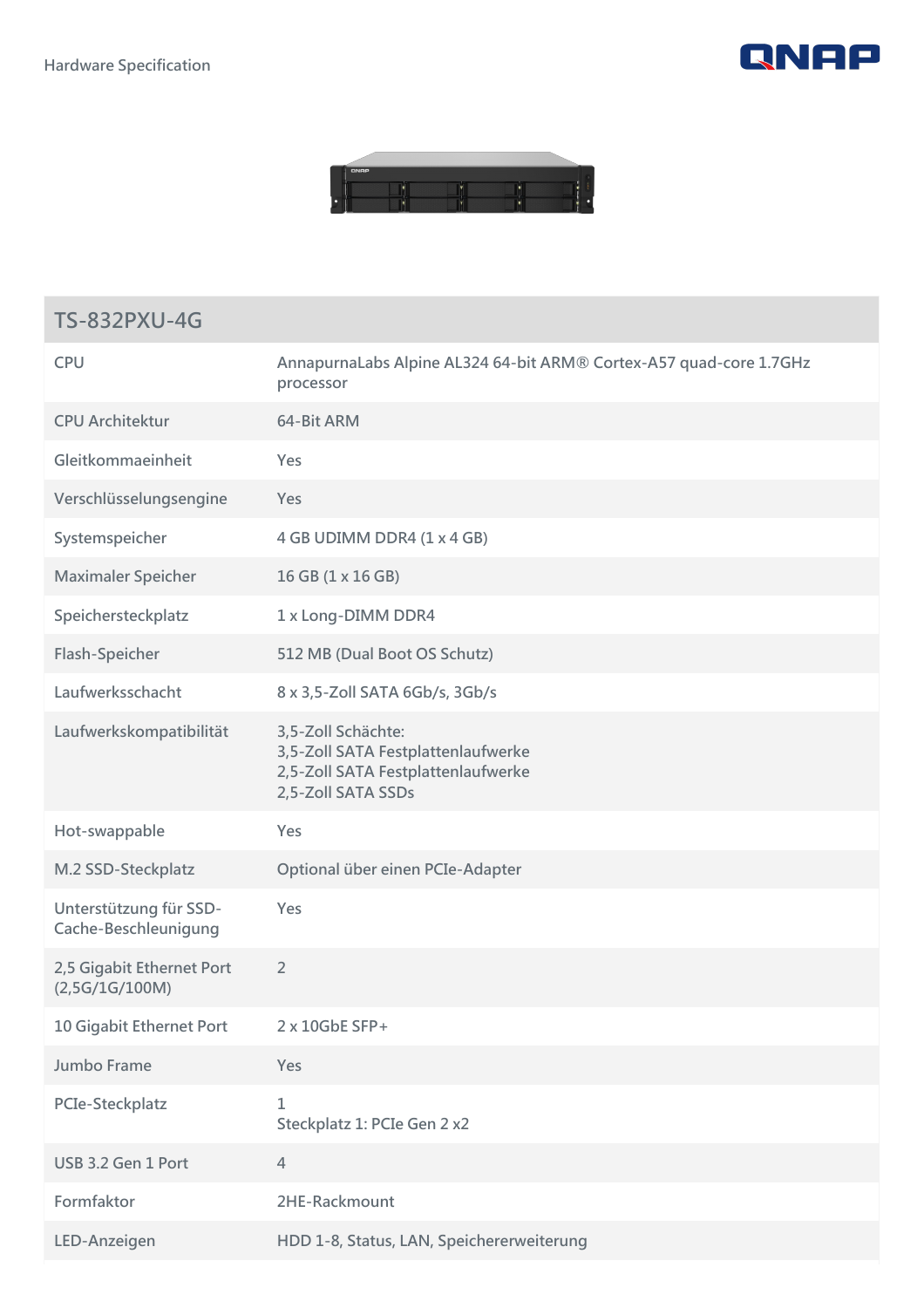



## **TS-832PXU-4G**

| <b>CPU</b>                                     | AnnapurnaLabs Alpine AL324 64-bit ARM® Cortex-A57 quad-core 1.7GHz<br>processor                                      |
|------------------------------------------------|----------------------------------------------------------------------------------------------------------------------|
| <b>CPU Architektur</b>                         | 64-Bit ARM                                                                                                           |
| Gleitkommaeinheit                              | Yes                                                                                                                  |
| Verschlüsselungsengine                         | Yes                                                                                                                  |
| Systemspeicher                                 | 4 GB UDIMM DDR4 (1 x 4 GB)                                                                                           |
| <b>Maximaler Speicher</b>                      | 16 GB (1 x 16 GB)                                                                                                    |
| Speichersteckplatz                             | 1 x Long-DIMM DDR4                                                                                                   |
| Flash-Speicher                                 | 512 MB (Dual Boot OS Schutz)                                                                                         |
| Laufwerksschacht                               | 8 x 3,5-Zoll SATA 6Gb/s, 3Gb/s                                                                                       |
| Laufwerkskompatibilität                        | 3,5-Zoll Schächte:<br>3,5-Zoll SATA Festplattenlaufwerke<br>2,5-Zoll SATA Festplattenlaufwerke<br>2,5-Zoll SATA SSDs |
| Hot-swappable                                  | Yes                                                                                                                  |
| M.2 SSD-Steckplatz                             | Optional über einen PCIe-Adapter                                                                                     |
| Unterstützung für SSD-<br>Cache-Beschleunigung | Yes                                                                                                                  |
| 2,5 Gigabit Ethernet Port<br>(2,5G/1G/100M)    | $\overline{2}$                                                                                                       |
| 10 Gigabit Ethernet Port                       | 2 x 10GbE SFP+                                                                                                       |
| Jumbo Frame                                    | Yes                                                                                                                  |
| PCIe-Steckplatz                                | $\mathbf{1}$<br>Steckplatz 1: PCIe Gen 2 x2                                                                          |
| USB 3.2 Gen 1 Port                             | $\overline{4}$                                                                                                       |
| Formfaktor                                     | 2HE-Rackmount                                                                                                        |
| LED-Anzeigen                                   | HDD 1-8, Status, LAN, Speichererweiterung                                                                            |